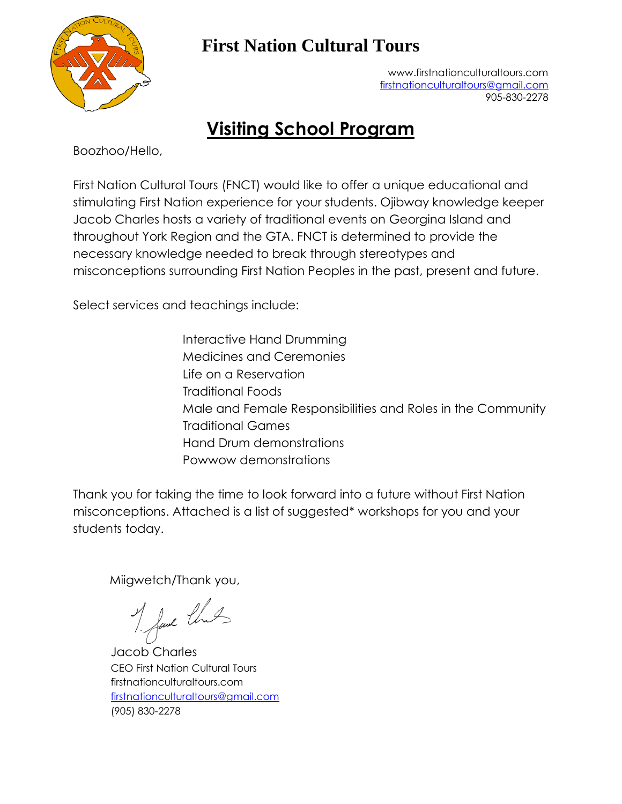

## **First Nation Cultural Tours**

[www.firstnationculturaltours.com](http://www.firstnationculturaltours.com/) [firstnationculturaltours@gmail.com](mailto:firstnationculturaltours@gmail.com) 905-830-2278

# **Visiting School Program**

Boozhoo/Hello,

First Nation Cultural Tours (FNCT) would like to offer a unique educational and stimulating First Nation experience for your students. Ojibway knowledge keeper Jacob Charles hosts a variety of traditional events on Georgina Island and throughout York Region and the GTA. FNCT is determined to provide the necessary knowledge needed to break through stereotypes and misconceptions surrounding First Nation Peoples in the past, present and future.

Select services and teachings include:

Interactive Hand Drumming Medicines and Ceremonies Life on a Reservation Traditional Foods Male and Female Responsibilities and Roles in the Community Traditional Games Hand Drum demonstrations Powwow demonstrations

Thank you for taking the time to look forward into a future without First Nation misconceptions. Attached is a list of suggested\* workshops for you and your students today.

Miigwetch/Thank you,

M fave that

Jacob Charles CEO First Nation Cultural Tours firstnationculturaltours.com [firstnationculturaltours@gmail.com](mailto:firstnationculturaltours@gmail.com) (905) 830-2278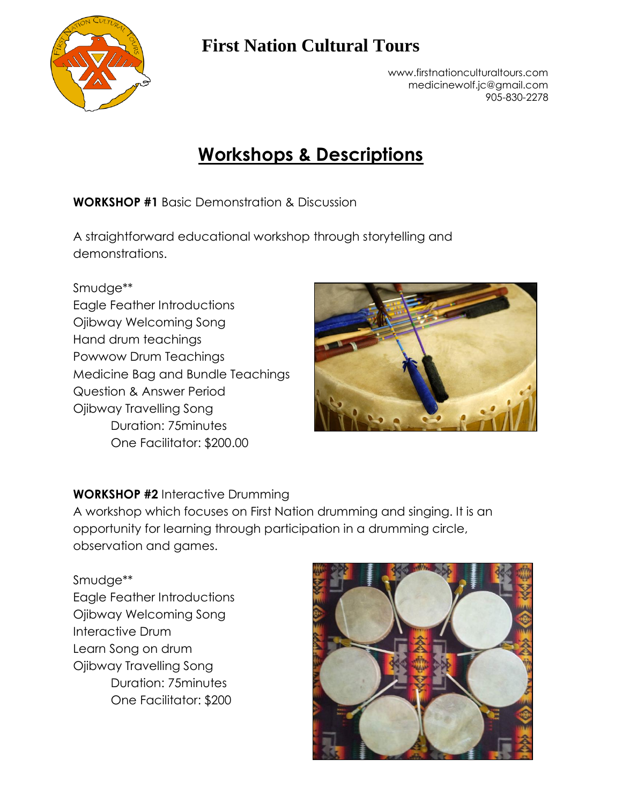

## **First Nation Cultural Tours**

[www.firstnationculturaltours.com](http://www.firstnationculturaltours.com/) [medicinewolf.jc@gmail.com](mailto:medicinewolf.jc@gmail.com) 905-830-2278

## **Workshops & Descriptions**

**WORKSHOP #1** Basic Demonstration & Discussion

A straightforward educational workshop through storytelling and demonstrations.

#### Smudge\*\*

Eagle Feather Introductions Ojibway Welcoming Song Hand drum teachings Powwow Drum Teachings Medicine Bag and Bundle Teachings Question & Answer Period Ojibway Travelling Song Duration: 75minutes One Facilitator: \$200.00



### **WORKSHOP #2** Interactive Drumming

A workshop which focuses on First Nation drumming and singing. It is an opportunity for learning through participation in a drumming circle, observation and games.

Smudge\*\* Eagle Feather Introductions Ojibway Welcoming Song Interactive Drum Learn Song on drum Ojibway Travelling Song Duration: 75minutes One Facilitator: \$200

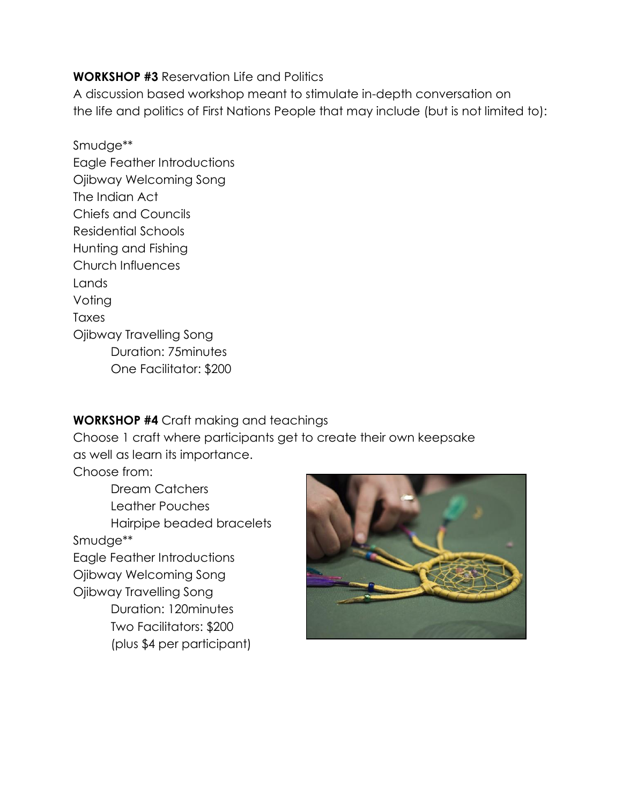### **WORKSHOP #3** Reservation Life and Politics

A discussion based workshop meant to stimulate in-depth conversation on the life and politics of First Nations People that may include (but is not limited to):

Smudge\*\* Eagle Feather Introductions Ojibway Welcoming Song The Indian Act Chiefs and Councils Residential Schools Hunting and Fishing Church Influences Lands Voting Taxes Ojibway Travelling Song Duration: 75minutes One Facilitator: \$200

### **WORKSHOP #4** Craft making and teachings

Choose 1 craft where participants get to create their own keepsake as well as learn its importance.

Choose from:

Dream Catchers Leather Pouches Hairpipe beaded bracelets Smudge\*\* Eagle Feather Introductions Ojibway Welcoming Song Ojibway Travelling Song Duration: 120minutes Two Facilitators: \$200 (plus \$4 per participant)